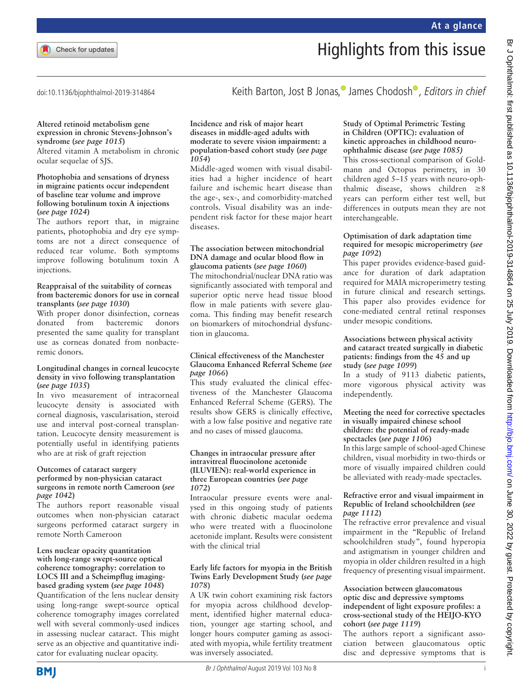Keith Barton[,](http://orcid.org/0000-0003-2972-5227) Jost B Jonas. James C[h](http://orcid.org/0000-0002-7463-1599)odosh<sup>®</sup>, Editors in chief

doi:10.1136/bjophthalmol-2019-314864

## **Altered retinoid metabolism gene expression in chronic Stevens-Johnson's syndrome (***see page 1015***)**

Altered vitamin A metabolism in chronic ocular sequelae of SJS.

## **Photophobia and sensations of dryness in migraine patients occur independent of baseline tear volume and improve following botulinum toxin A injections (***see page 1024***)**

The authors report that, in migraine patients, photophobia and dry eye symptoms are not a direct consequence of reduced tear volume. Both symptoms improve following botulinum toxin A injections.

#### **Reappraisal of the suitability of corneas from bacteremic donors for use in corneal transplants (***see page 1030***)**

With proper donor disinfection, corneas donated from bacteremic donors presented the same quality for transplant use as corneas donated from nonbacteremic donors.

#### **Longitudinal changes in corneal leucocyte density in vivo following transplantation (***see page 1035***)**

In vivo measurement of intracorneal leucocyte density is associated with corneal diagnosis, vascularisation, steroid use and interval post-corneal transplantation. Leucocyte density measurement is potentially useful in identifying patients who are at risk of graft rejection

## **Outcomes of cataract surgery performed by non-physician cataract surgeons in remote north Cameroon (***see page 1042***)**

The authors report reasonable visual outcomes when non-physician cataract surgeons performed cataract surgery in remote North Cameroon

#### **Lens nuclear opacity quantitation with long-range swept-source optical coherence tomography: correlation to LOCS III and a Scheimpflug imagingbased grading system (***see page 1048***)**

Quantification of the lens nuclear density using long-range swept-source optical coherence tomography images correlated well with several commonly-used indices in assessing nuclear cataract. This might serve as an objective and quantitative indicator for evaluating nuclear opacity.

#### **Incidence and risk of major heart diseases in middle-aged adults with moderate to severe vision impairment: a population-based cohort study (***see page 1054***)**

Middle-aged women with visual disabilities had a higher incidence of heart failure and ischemic heart disease than the age-, sex-, and comorbidity-matched controls. Visual disability was an independent risk factor for these major heart diseases.

## **The association between mitochondrial DNA damage and ocular blood flow in glaucoma patients (***see page 1060***)**

The mitochondrial/nuclear DNA ratio was significantly associated with temporal and superior optic nerve head tissue blood flow in male patients with severe glaucoma. This finding may benefit research on biomarkers of mitochondrial dysfunction in glaucoma.

# **Clinical effectiveness of the Manchester Glaucoma Enhanced Referral Scheme (***see page 1066***)**

This study evaluated the clinical effectiveness of the Manchester Glaucoma Enhanced Referral Scheme (GERS). The results show GERS is clinically effective, with a low false positive and negative rate and no cases of missed glaucoma.

## **Changes in intraocular pressure after intravitreal fluocinolone acetonide (ILUVIEN): real-world experience in three European countries (***see page 1072***)**

Intraocular pressure events were analysed in this ongoing study of patients with chronic diabetic macular oedema who were treated with a fluocinolone acetonide implant. Results were consistent with the clinical trial

# **Early life factors for myopia in the British Twins Early Development Study (***see page 1078***)**

A UK twin cohort examining risk factors for myopia across childhood development, identified higher maternal education, younger age starting school, and longer hours computer gaming as associated with myopia, while fertility treatment was inversely associated.

# **Study of Optimal Perimetric Testing in Children (OPTIC): evaluation of kinetic approaches in childhood neuroophthalmic disease (***see page 1085)*

This cross-sectional comparison of Goldmann and Octopus perimetry, in 30 children aged 5–15 years with neuro-ophthalmic disease, shows children  $\geq 8$ years can perform either test well, but differences in outputs mean they are not interchangeable.

# **Optimisation of dark adaptation time required for mesopic microperimetry (***see page 1092***)**

This paper provides evidence-based guidance for duration of dark adaptation required for MAIA microperimetry testing in future clinical and research settings. This paper also provides evidence for cone-mediated central retinal responses under mesopic conditions.

## **Associations between physical activity and cataract treated surgically in diabetic patients: findings from the 45 and up study (***see page 1099***)**

In a study of 9113 diabetic patients, more vigorous physical activity was independently.

# **Meeting the need for corrective spectacles in visually impaired chinese school children: the potential of ready-made spectacles (***see page 1106***)**

In this large sample of school-aged Chinese children, visual morbidity in two-thirds or more of visually impaired children could be alleviated with ready-made spectacles.

# **Refractive error and visual impairment in Republic of Ireland schoolchildren (***see page 1112***)**

The refractive error prevalence and visual impairment in the "Republic of Ireland schoolchildren study", found hyperopia and astigmatism in younger children and myopia in older children resulted in a high frequency of presenting visual impairment.

# **Association between glaucomatous optic disc and depressive symptoms independent of light exposure profiles: a cross-sectional study of the HEIJO-KYO cohort (***see page 1119***)**

The authors report a significant association between glaucomatous optic disc and depressive symptoms that is